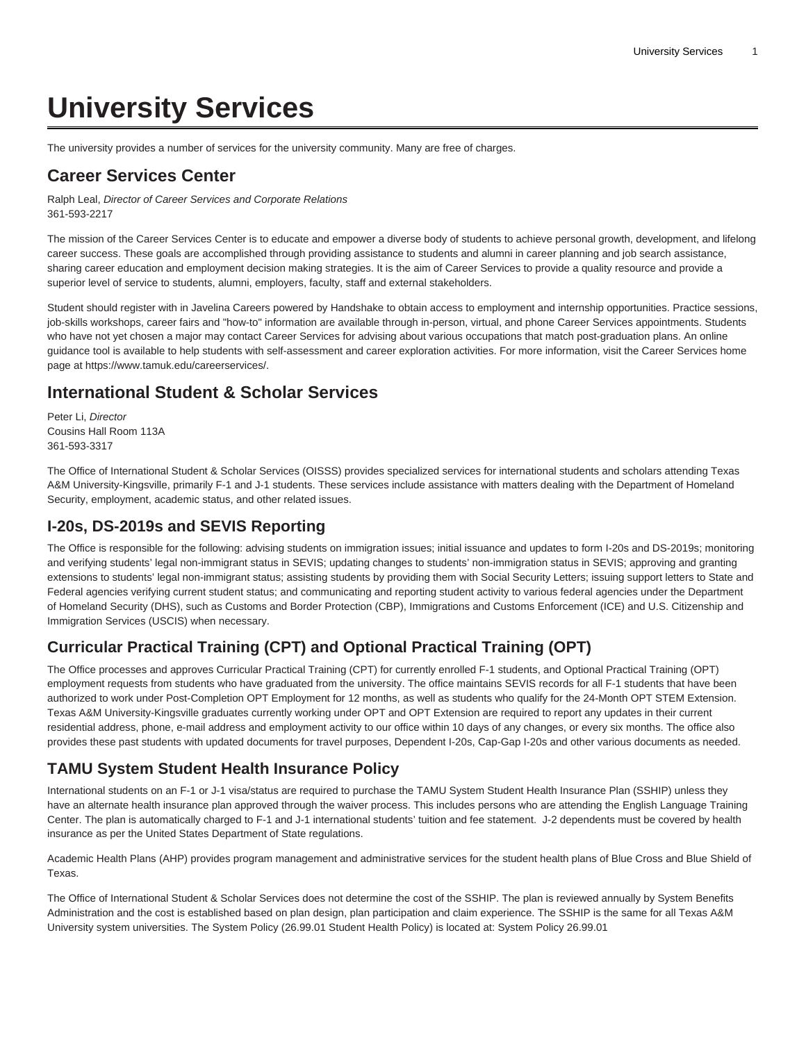# **University Services**

The university provides a number of services for the university community. Many are free of charges.

#### **Career Services Center**

Ralph Leal, Director of Career Services and Corporate Relations 361-593-2217

The mission of the Career Services Center is to educate and empower a diverse body of students to achieve personal growth, development, and lifelong career success. These goals are accomplished through providing assistance to students and alumni in career planning and job search assistance, sharing career education and employment decision making strategies. It is the aim of Career Services to provide a quality resource and provide a superior level of service to students, alumni, employers, faculty, staff and external stakeholders.

Student should register with in Javelina Careers powered by Handshake to obtain access to employment and internship opportunities. Practice sessions, job-skills workshops, career fairs and "how-to" information are available through in-person, virtual, and phone Career Services appointments. Students who have not yet chosen a major may contact Career Services for advising about various occupations that match post-graduation plans. An online guidance tool is available to help students with self-assessment and career exploration activities. For more information, visit the Career Services home page at <https://www.tamuk.edu/careerservices/>.

## **International Student & Scholar Services**

Peter Li, Director Cousins Hall Room 113A 361-593-3317

The Office of International Student & Scholar Services (OISSS) provides specialized services for international students and scholars attending Texas A&M University-Kingsville, primarily F-1 and J-1 students. These services include assistance with matters dealing with the Department of Homeland Security, employment, academic status, and other related issues.

## **I-20s, DS-2019s and SEVIS Reporting**

The Office is responsible for the following: advising students on immigration issues; initial issuance and updates to form I-20s and DS-2019s; monitoring and verifying students' legal non-immigrant status in SEVIS; updating changes to students' non-immigration status in SEVIS; approving and granting extensions to students' legal non-immigrant status; assisting students by providing them with Social Security Letters; issuing support letters to State and Federal agencies verifying current student status; and communicating and reporting student activity to various federal agencies under the Department of Homeland Security (DHS), such as Customs and Border Protection (CBP), Immigrations and Customs Enforcement (ICE) and U.S. Citizenship and Immigration Services (USCIS) when necessary.

## **Curricular Practical Training (CPT) and Optional Practical Training (OPT)**

The Office processes and approves Curricular Practical Training (CPT) for currently enrolled F-1 students, and Optional Practical Training (OPT) employment requests from students who have graduated from the university. The office maintains SEVIS records for all F-1 students that have been authorized to work under Post-Completion OPT Employment for 12 months, as well as students who qualify for the 24-Month OPT STEM Extension. Texas A&M University-Kingsville graduates currently working under OPT and OPT Extension are required to report any updates in their current residential address, phone, e-mail address and employment activity to our office within 10 days of any changes, or every six months. The office also provides these past students with updated documents for travel purposes, Dependent I-20s, Cap-Gap I-20s and other various documents as needed.

## **TAMU System Student Health Insurance Policy**

International students on an F-1 or J-1 visa/status are required to purchase the TAMU System Student Health Insurance Plan (SSHIP) unless they have an alternate health insurance plan approved through the waiver process. This includes persons who are attending the English Language Training Center. The plan is automatically charged to F-1 and J-1 international students' tuition and fee statement. J-2 dependents must be covered by health insurance as per the United States Department of State regulations.

Academic Health Plans (AHP) provides program management and administrative services for the student health plans of Blue Cross and Blue Shield of Texas.

The Office of International Student & Scholar Services does not determine the cost of the SSHIP. The plan is reviewed annually by System Benefits Administration and the cost is established based on plan design, plan participation and claim experience. The SSHIP is the same for all Texas A&M University system universities. The System Policy (26.99.01 Student Health Policy) is located at: [System Policy 26.99.01](http://policies.tamus.edu/26-99-01.pdf)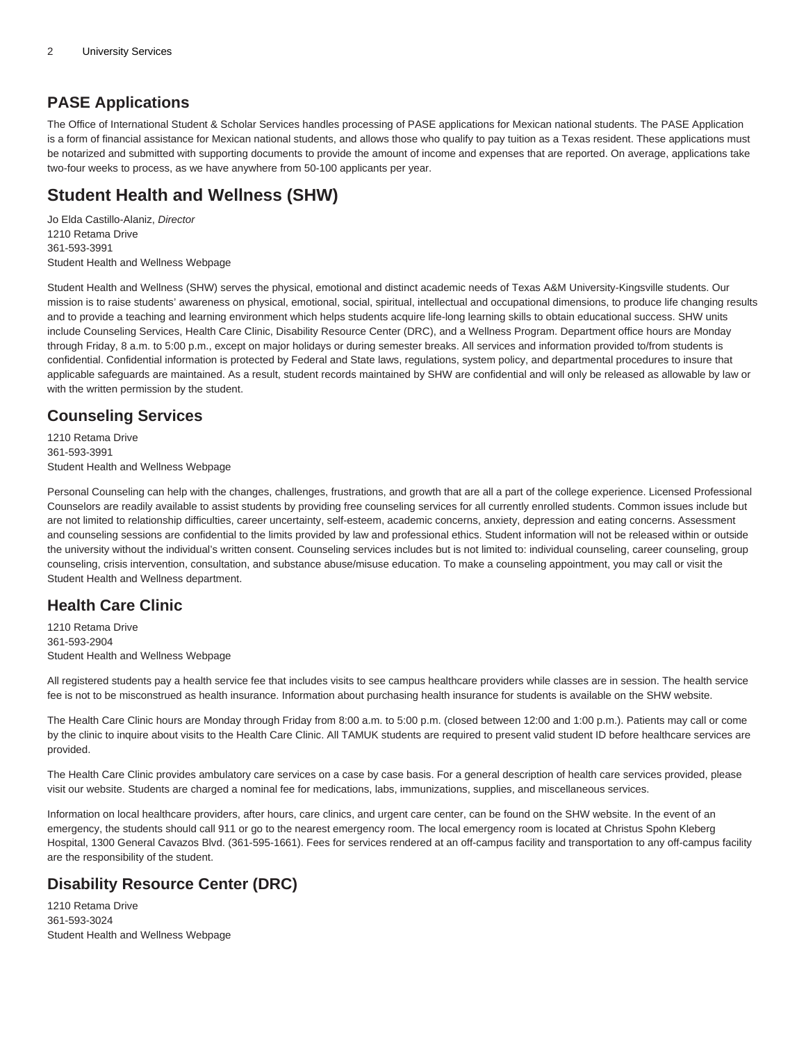#### **PASE Applications**

The Office of International Student & Scholar Services handles processing of PASE applications for Mexican national students. The PASE Application is a form of financial assistance for Mexican national students, and allows those who qualify to pay tuition as a Texas resident. These applications must be notarized and submitted with supporting documents to provide the amount of income and expenses that are reported. On average, applications take two-four weeks to process, as we have anywhere from 50-100 applicants per year.

## **Student Health and Wellness (SHW)**

Jo Elda Castillo-Alaniz, Director 1210 Retama Drive 361-593-3991 [Student Health and Wellness Webpage](http://www.tamuk.edu/shw/)

Student Health and Wellness (SHW) serves the physical, emotional and distinct academic needs of Texas A&M University-Kingsville students. Our mission is to raise students' awareness on physical, emotional, social, spiritual, intellectual and occupational dimensions, to produce life changing results and to provide a teaching and learning environment which helps students acquire life-long learning skills to obtain educational success. SHW units include Counseling Services, Health Care Clinic, Disability Resource Center (DRC), and a Wellness Program. Department office hours are Monday through Friday, 8 a.m. to 5:00 p.m., except on major holidays or during semester breaks. All services and information provided to/from students is confidential. Confidential information is protected by Federal and State laws, regulations, system policy, and departmental procedures to insure that applicable safeguards are maintained. As a result, student records maintained by SHW are confidential and will only be released as allowable by law or with the written permission by the student.

## **Counseling Services**

1210 Retama Drive 361-593-3991 [Student Health and Wellness Webpage](http://www.tamuk.edu/shw/)

Personal Counseling can help with the changes, challenges, frustrations, and growth that are all a part of the college experience. Licensed Professional Counselors are readily available to assist students by providing free counseling services for all currently enrolled students. Common issues include but are not limited to relationship difficulties, career uncertainty, self-esteem, academic concerns, anxiety, depression and eating concerns. Assessment and counseling sessions are confidential to the limits provided by law and professional ethics. Student information will not be released within or outside the university without the individual's written consent. Counseling services includes but is not limited to: individual counseling, career counseling, group counseling, crisis intervention, consultation, and substance abuse/misuse education. To make a counseling appointment, you may call or visit the Student Health and Wellness department.

## **Health Care Clinic**

1210 Retama Drive 361-593-2904 [Student Health and Wellness Webpage](http://www.tamuk.edu/shw/)

All registered students pay a health service fee that includes visits to see campus healthcare providers while classes are in session. The health service fee is not to be misconstrued as health insurance. Information about purchasing health insurance for students is available on the SHW website.

The Health Care Clinic hours are Monday through Friday from 8:00 a.m. to 5:00 p.m. (closed between 12:00 and 1:00 p.m.). Patients may call or come by the clinic to inquire about visits to the Health Care Clinic. All TAMUK students are required to present valid student ID before healthcare services are provided.

The Health Care Clinic provides ambulatory care services on a case by case basis. For a general description of health care services provided, please visit our website. Students are charged a nominal fee for medications, labs, immunizations, supplies, and miscellaneous services.

Information on local healthcare providers, after hours, care clinics, and urgent care center, can be found on the SHW website. In the event of an emergency, the students should call 911 or go to the nearest emergency room. The local emergency room is located at Christus Spohn Kleberg Hospital, 1300 General Cavazos Blvd. (361-595-1661). Fees for services rendered at an off-campus facility and transportation to any off-campus facility are the responsibility of the student.

# **Disability Resource Center (DRC)**

1210 Retama Drive 361-593-3024 [Student Health and Wellness Webpage](http://www.tamuk.edu/shw/)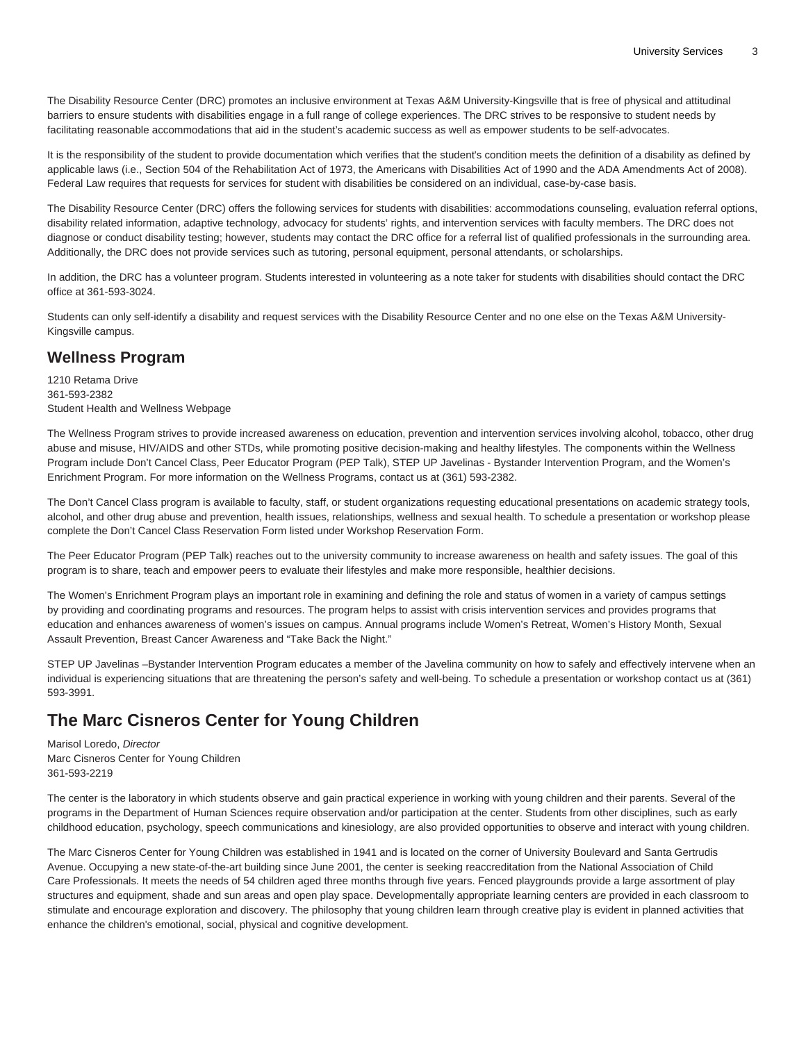The Disability Resource Center (DRC) promotes an inclusive environment at Texas A&M University-Kingsville that is free of physical and attitudinal barriers to ensure students with disabilities engage in a full range of college experiences. The DRC strives to be responsive to student needs by facilitating reasonable accommodations that aid in the student's academic success as well as empower students to be self-advocates.

It is the responsibility of the student to provide documentation which verifies that the student's condition meets the definition of a disability as defined by applicable laws (i.e., Section 504 of the Rehabilitation Act of 1973, the Americans with Disabilities Act of 1990 and the ADA Amendments Act of 2008). Federal Law requires that requests for services for student with disabilities be considered on an individual, case-by-case basis.

The Disability Resource Center (DRC) offers the following services for students with disabilities: accommodations counseling, evaluation referral options, disability related information, adaptive technology, advocacy for students' rights, and intervention services with faculty members. The DRC does not diagnose or conduct disability testing; however, students may contact the DRC office for a referral list of qualified professionals in the surrounding area. Additionally, the DRC does not provide services such as tutoring, personal equipment, personal attendants, or scholarships.

In addition, the DRC has a volunteer program. Students interested in volunteering as a note taker for students with disabilities should contact the DRC office at 361-593-3024.

Students can only self-identify a disability and request services with the Disability Resource Center and no one else on the Texas A&M University-Kingsville campus.

#### **Wellness Program**

1210 Retama Drive 361-593-2382 [Student Health and Wellness Webpage](http://www.tamuk.edu/shw/)

The Wellness Program strives to provide increased awareness on education, prevention and intervention services involving alcohol, tobacco, other drug abuse and misuse, HIV/AIDS and other STDs, while promoting positive decision-making and healthy lifestyles. The components within the Wellness Program include Don't Cancel Class, Peer Educator Program (PEP Talk), STEP UP Javelinas - Bystander Intervention Program, and the Women's Enrichment Program. For more information on the Wellness Programs, contact us at (361) 593-2382.

The Don't Cancel Class program is available to faculty, staff, or student organizations requesting educational presentations on academic strategy tools, alcohol, and other drug abuse and prevention, health issues, relationships, wellness and sexual health. To schedule a presentation or workshop please complete the Don't Cancel Class Reservation Form listed under Workshop Reservation Form.

The Peer Educator Program (PEP Talk) reaches out to the university community to increase awareness on health and safety issues. The goal of this program is to share, teach and empower peers to evaluate their lifestyles and make more responsible, healthier decisions.

The Women's Enrichment Program plays an important role in examining and defining the role and status of women in a variety of campus settings by providing and coordinating programs and resources. The program helps to assist with crisis intervention services and provides programs that education and enhances awareness of women's issues on campus. Annual programs include Women's Retreat, Women's History Month, Sexual Assault Prevention, Breast Cancer Awareness and "Take Back the Night."

STEP UP Javelinas –Bystander Intervention Program educates a member of the Javelina community on how to safely and effectively intervene when an individual is experiencing situations that are threatening the person's safety and well-being. To schedule a presentation or workshop contact us at (361) 593-3991.

## **The Marc Cisneros Center for Young Children**

Marisol Loredo, Director Marc Cisneros Center for Young Children 361-593-2219

The center is the laboratory in which students observe and gain practical experience in working with young children and their parents. Several of the programs in the Department of Human Sciences require observation and/or participation at the center. Students from other disciplines, such as early childhood education, psychology, speech communications and kinesiology, are also provided opportunities to observe and interact with young children.

The Marc Cisneros Center for Young Children was established in 1941 and is located on the corner of University Boulevard and Santa Gertrudis Avenue. Occupying a new state-of-the-art building since June 2001, the center is seeking reaccreditation from the National Association of Child Care Professionals. It meets the needs of 54 children aged three months through five years. Fenced playgrounds provide a large assortment of play structures and equipment, shade and sun areas and open play space. Developmentally appropriate learning centers are provided in each classroom to stimulate and encourage exploration and discovery. The philosophy that young children learn through creative play is evident in planned activities that enhance the children's emotional, social, physical and cognitive development.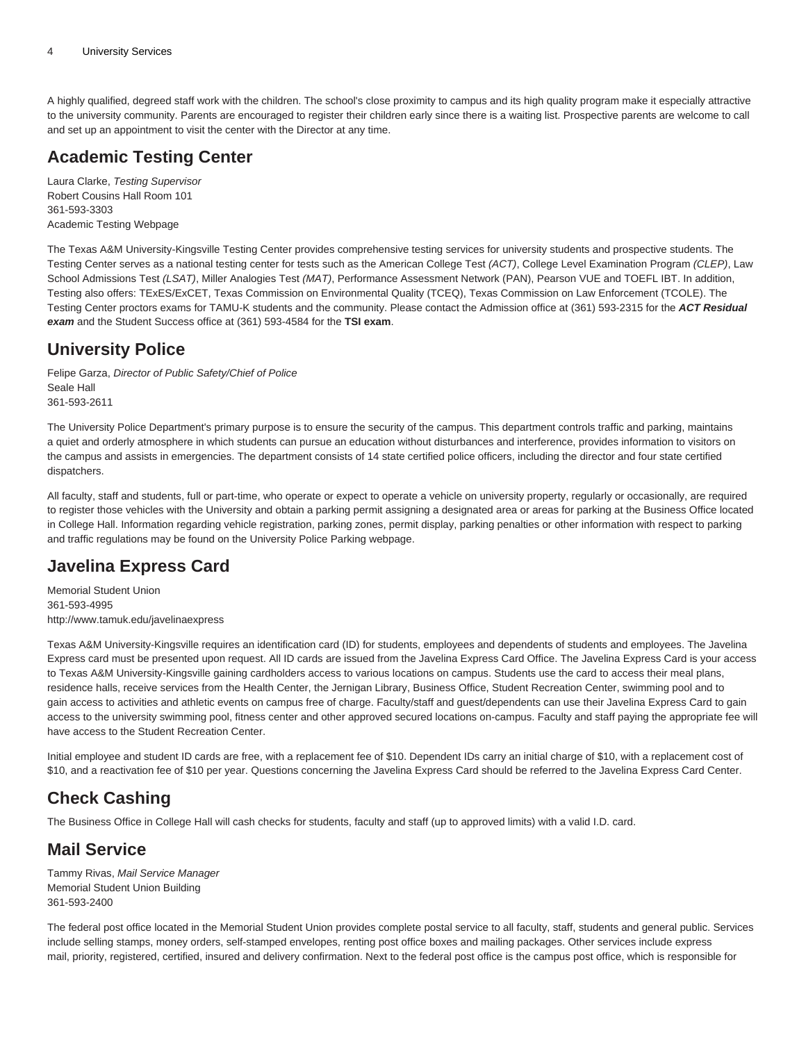A highly qualified, degreed staff work with the children. The school's close proximity to campus and its high quality program make it especially attractive to the university community. Parents are encouraged to register their children early since there is a waiting list. Prospective parents are welcome to call and set up an appointment to visit the center with the Director at any time.

# **Academic Testing Center**

Laura Clarke, Testing Supervisor Robert Cousins Hall Room 101 361-593-3303 [Academic Testing Webpage](http://www.tamuk.edu/academictesting/)

The Texas A&M University-Kingsville Testing Center provides comprehensive testing services for university students and prospective students. The Testing Center serves as a national testing center for tests such as the American College Test (ACT), College Level Examination Program (CLEP), Law School Admissions Test (LSAT), Miller Analogies Test (MAT), Performance Assessment Network (PAN), Pearson VUE and TOEFL IBT. In addition, Testing also offers: TExES/ExCET, Texas Commission on Environmental Quality (TCEQ), Texas Commission on Law Enforcement (TCOLE). The Testing Center proctors exams for TAMU-K students and the community. Please contact the Admission office at (361) 593-2315 for the **ACT Residual exam** and the Student Success office at (361) 593-4584 for the **TSI exam**.

## **University Police**

Felipe Garza, Director of Public Safety/Chief of Police Seale Hall 361-593-2611

The University Police Department's primary purpose is to ensure the security of the campus. This department controls traffic and parking, maintains a quiet and orderly atmosphere in which students can pursue an education without disturbances and interference, provides information to visitors on the campus and assists in emergencies. The department consists of 14 state certified police officers, including the director and four state certified dispatchers.

All faculty, staff and students, full or part-time, who operate or expect to operate a vehicle on university property, regularly or occasionally, are required to register those vehicles with the University and obtain a parking permit assigning a designated area or areas for parking at the Business Office located in College Hall. Information regarding vehicle registration, parking zones, permit display, parking penalties or other information with respect to parking and traffic regulations may be found on the [University Police Parking webpage](https://www.tamuk.edu/upd/).

# **Javelina Express Card**

Memorial Student Union 361-593-4995 [http://www.tamuk.edu/javelinaexpress](http://www.tamuk.edu/javelinaexpress/)

Texas A&M University-Kingsville requires an identification card (ID) for students, employees and dependents of students and employees. The Javelina Express card must be presented upon request. All ID cards are issued from the Javelina Express Card Office. The Javelina Express Card is your access to Texas A&M University-Kingsville gaining cardholders access to various locations on campus. Students use the card to access their meal plans, residence halls, receive services from the Health Center, the Jernigan Library, Business Office, Student Recreation Center, swimming pool and to gain access to activities and athletic events on campus free of charge. Faculty/staff and guest/dependents can use their Javelina Express Card to gain access to the university swimming pool, fitness center and other approved secured locations on-campus. Faculty and staff paying the appropriate fee will have access to the Student Recreation Center.

Initial employee and student ID cards are free, with a replacement fee of \$10. Dependent IDs carry an initial charge of \$10, with a replacement cost of \$10, and a reactivation fee of \$10 per year. Questions concerning the Javelina Express Card should be referred to the Javelina Express Card Center.

# **Check Cashing**

The Business Office in College Hall will cash checks for students, faculty and staff (up to approved limits) with a valid I.D. card.

## **Mail Service**

Tammy Rivas, Mail Service Manager Memorial Student Union Building 361-593-2400

The federal post office located in the Memorial Student Union provides complete postal service to all faculty, staff, students and general public. Services include selling stamps, money orders, self-stamped envelopes, renting post office boxes and mailing packages. Other services include express mail, priority, registered, certified, insured and delivery confirmation. Next to the federal post office is the campus post office, which is responsible for